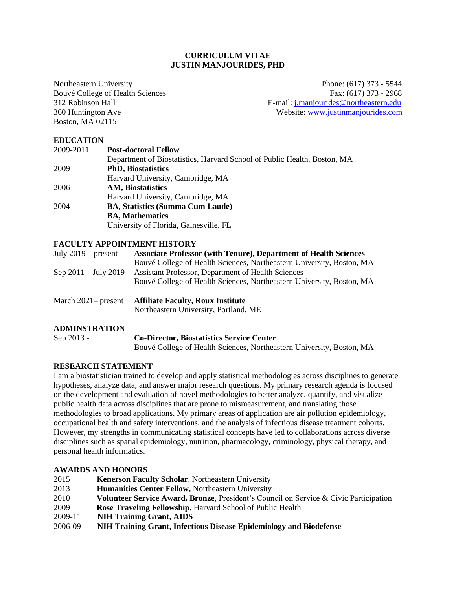### **CURRICULUM VITAE JUSTIN MANJOURIDES, PHD**

Boston, MA 02115

Northeastern University Phone: (617) 373 - 5544 Bouvé College of Health Sciences<br>
312 Robinson Hall<br>
E-mail: i.maniourides@northeastern.edu E-mail: [j.manjourides@northeastern.edu](mailto:j.manjourides@northeastern.edu) 360 Huntington Ave Website: [www.justinmanjourides.com](http://www.justinmanjourides.com/)

### **EDUCATION**

| 2009-2011 | <b>Post-doctoral Fellow</b>                                              |
|-----------|--------------------------------------------------------------------------|
|           | Department of Biostatistics, Harvard School of Public Health, Boston, MA |
| 2009      | <b>PhD, Biostatistics</b>                                                |
|           | Harvard University, Cambridge, MA                                        |
| 2006      | <b>AM, Biostatistics</b>                                                 |
|           | Harvard University, Cambridge, MA                                        |
| 2004      | <b>BA, Statistics (Summa Cum Laude)</b>                                  |
|           | <b>BA, Mathematics</b>                                                   |
|           | University of Florida, Gainesville, FL                                   |

#### **FACULTY APPOINTMENT HISTORY**

| July $2019$ – present          | <b>Associate Professor (with Tenure), Department of Health Sciences</b> |
|--------------------------------|-------------------------------------------------------------------------|
|                                | Bouvé College of Health Sciences, Northeastern University, Boston, MA   |
| Sep $2011 - \text{July } 2019$ | Assistant Professor, Department of Health Sciences                      |
|                                | Bouvé College of Health Sciences, Northeastern University, Boston, MA   |
|                                |                                                                         |
| March $2021$ – present         | <b>Affiliate Faculty, Roux Institute</b>                                |

Northeastern University, Portland, ME

## **ADMINSTRATION**

Sep 2013 - **Co-Director, Biostatistics Service Center** Bouvé College of Health Sciences, Northeastern University, Boston, MA

### **RESEARCH STATEMENT**

I am a biostatistician trained to develop and apply statistical methodologies across disciplines to generate hypotheses, analyze data, and answer major research questions. My primary research agenda is focused on the development and evaluation of novel methodologies to better analyze, quantify, and visualize public health data across disciplines that are prone to mismeasurement, and translating those methodologies to broad applications. My primary areas of application are air pollution epidemiology, occupational health and safety interventions, and the analysis of infectious disease treatment cohorts. However, my strengths in communicating statistical concepts have led to collaborations across diverse disciplines such as spatial epidemiology, nutrition, pharmacology, criminology, physical therapy, and personal health informatics.

#### **AWARDS AND HONORS**

| 2015    | <b>Kenerson Faculty Scholar, Northeastern University</b>                                      |
|---------|-----------------------------------------------------------------------------------------------|
| 2013    | <b>Humanities Center Fellow, Northeastern University</b>                                      |
| 2010    | <b>Volunteer Service Award, Bronze</b> , President's Council on Service & Civic Participation |
| 2009    | <b>Rose Traveling Fellowship, Harvard School of Public Health</b>                             |
| 2009-11 | <b>NIH Training Grant, AIDS</b>                                                               |
| 2006-09 | NIH Training Grant, Infectious Disease Epidemiology and Biodefense                            |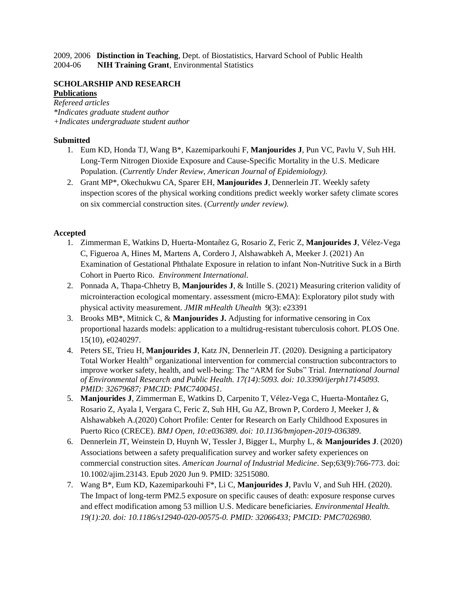2009, 2006 **Distinction in Teaching**, Dept. of Biostatistics, Harvard School of Public Health 2004-06 **NIH Training Grant**, Environmental Statistics

### **SCHOLARSHIP AND RESEARCH Publications**

*Refereed articles \*Indicates graduate student author +Indicates undergraduate student author*

### **Submitted**

- 1. Eum KD, Honda TJ, Wang B\*, Kazemiparkouhi F, **Manjourides J**, Pun VC, Pavlu V, Suh HH. Long-Term Nitrogen Dioxide Exposure and Cause-Specific Mortality in the U.S. Medicare Population. (*Currently Under Review, American Journal of Epidemiology).*
- 2. Grant MP\*, Okechukwu CA, Sparer EH, **Manjourides J**, Dennerlein JT. Weekly safety inspection scores of the physical working conditions predict weekly worker safety climate scores on six commercial construction sites. (*Currently under review).*

## **Accepted**

- 1. Zimmerman E, Watkins D, Huerta-Montañez G, Rosario Z, Feric Z, **Manjourides J**, Vélez-Vega C, Figueroa A, Hines M, Martens A, Cordero J, Alshawabkeh A, Meeker J. (2021) An Examination of Gestational Phthalate Exposure in relation to infant Non-Nutritive Suck in a Birth Cohort in Puerto Rico. *Environment International*.
- 2. Ponnada A, Thapa-Chhetry B, **Manjourides J**, & Intille S. (2021) Measuring criterion validity of microinteraction ecological momentary. assessment (micro-EMA): Exploratory pilot study with physical activity measurement. *JMIR mHealth Uhealth* 9(3): e23391
- 3. Brooks MB\*, Mitnick C, & **Manjourides J.** Adjusting for informative censoring in Cox proportional hazards models: application to a multidrug-resistant tuberculosis cohort. PLOS One. 15(10), e0240297.
- 4. Peters SE, Trieu H, **Manjourides J**, Katz JN, Dennerlein JT. (2020). Designing a participatory Total Worker Health<sup>®</sup> organizational intervention for commercial construction subcontractors to improve worker safety, health, and well-being: The "ARM for Subs" Trial. *International Journal of Environmental Research and Public Health. 17(14):5093. doi: 10.3390/ijerph17145093. PMID: 32679687; PMCID: PMC7400451.*
- 5. **Manjourides J**, Zimmerman E, Watkins D, Carpenito T, Vélez-Vega C, Huerta-Montañez G, Rosario Z, Ayala I, Vergara C, Feric Z, Suh HH, Gu AZ, Brown P, Cordero J, Meeker J, & Alshawabkeh A.(2020) Cohort Profile: Center for Research on Early Childhood Exposures in Puerto Rico (CRECE). *BMJ Open, 10:e036389. doi: 10.1136/bmjopen-2019-036389*.
- 6. Dennerlein JT, Weinstein D, Huynh W, Tessler J, Bigger L, Murphy L, & **Manjourides J**. (2020) Associations between a safety prequalification survey and worker safety experiences on commercial construction sites. *American Journal of Industrial Medicine*. Sep;63(9):766-773. doi: 10.1002/ajim.23143. Epub 2020 Jun 9. PMID: 32515080.
- 7. Wang B\*, Eum KD, Kazemiparkouhi F\*, Li C, **Manjourides J**, Pavlu V, and Suh HH. (2020). The Impact of long-term PM2.5 exposure on specific causes of death: exposure response curves and effect modification among 53 million U.S. Medicare beneficiaries. *Environmental Health. 19(1):20. doi: 10.1186/s12940-020-00575-0. PMID: 32066433; PMCID: PMC7026980.*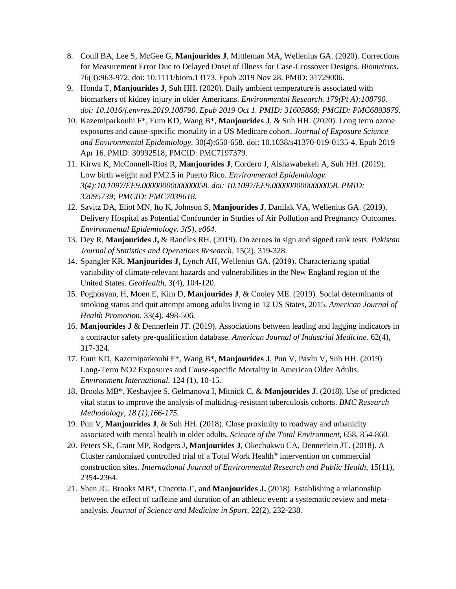- 8. Coull BA, Lee S, McGee G, **Manjourides J**, Mittleman MA, Wellenius GA. (2020). Corrections for Measurement Error Due to Delayed Onset of Illness for Case-Crossover Designs. *Biometrics*. 76(3):963-972. doi: 10.1111/biom.13173. Epub 2019 Nov 28. PMID: 31729006.
- 9. Honda T, **Manjourides J**, Suh HH. (2020). Daily ambient temperature is associated with biomarkers of kidney injury in older Americans. *Environmental Research. 179(Pt A):108790. doi: 10.1016/j.envres.2019.108790. Epub 2019 Oct 1. PMID: 31605868; PMCID: PMC6893879.*
- 10. Kazemiparkouhi F\*, Eum KD, Wang B\*, **Manjourides J**, & Suh HH. (2020). Long term ozone exposures and cause-specific mortality in a US Medicare cohort. *Journal of Exposure Science and Environmental Epidemiology.* 30(4):650-658. doi: 10.1038/s41370-019-0135-4. Epub 2019 Apr 16. PMID: 30992518; PMCID: PMC7197379.
- 11. Kirwa K, McConnell-Rios R, **Manjourides J**, Cordero J, Alshawabekeh A, Suh HH. (2019). Low birth weight and PM2.5 in Puerto Rico. *Environmental Epidemiology. 3(4):10.1097/EE9.0000000000000058. doi: 10.1097/EE9.0000000000000058. PMID: 32095739; PMCID: PMC7039618.*
- 12. Savitz DA, Eliot MN, Ito K, Johnson S, **Manjourides J**, Danilak VA, Wellenius GA. (2019). Delivery Hospital as Potential Confounder in Studies of Air Pollution and Pregnancy Outcomes. *Environmental Epidemiology. 3(5), e064.*
- 13. Dey R, **Manjourides J,** & Randles RH. (2019). On zeroes in sign and signed rank tests. *Pakistan Journal of Statistics and Operations Research,* 15(2), 319-328.
- 14. Spangler KR, **Manjourides J**, Lynch AH, Wellenius GA. (2019). Characterizing spatial variability of climate-relevant hazards and vulnerabilities in the New England region of the United States. *GeoHealth,* 3(4), 104-120.
- 15. Poghosyan, H, Moen E, Kim D, **Manjourides J**, & Cooley ME. (2019). Social determinants of smoking status and quit attempt among adults living in 12 US States, 2015. *American Journal of Health Promotion,* 33(4), 498-506*.*
- 16. **Manjourides J** & Dennerlein JT. (2019). Associations between leading and lagging indicators in a contractor safety pre-qualification database. *American Journal of Industrial Medicine.* 62(4), 317-324.
- 17. Eum KD, Kazemiparkouhi F\*, Wang B\*, **Manjourides J**, Pun V, Pavlu V, Suh HH. (2019) Long-Term NO2 Exposures and Cause-specific Mortality in American Older Adults. *Environment International.* 124 (1), 10-15.
- 18. Brooks MB\*, Keshavjee S, Gelmanova I, Mitnick C, & **Manjourides J**. (2018). Use of predicted vital status to improve the analysis of multidrug-resistant tuberculosis cohorts. *BMC Research Methodology, 18 (1),166-175.*
- 19. Pun V, **Manjourides J**, & Suh HH. (2018). Close proximity to roadway and urbanicity associated with mental health in older adults. *Science of the Total Environment,* 658, 854-860*.*
- 20. Peters SE, Grant MP, Rodgers J, **Manjourides J**, Okechukwu CA, Dennerlein JT. (2018). A Cluster randomized controlled trial of a Total Work Health® intervention on commercial construction sites*. International Journal of Environmental Research and Public Health*, 15(11), 2354-2364.
- 21. Shen JG, Brooks MB<sup>\*</sup>, Cincotta J<sup>+</sup>, and **Manjourides J.** (2018). Establishing a relationship between the effect of caffeine and duration of an athletic event: a systematic review and metaanalysis. *Journal of Science and Medicine in Sport,* 22(2), 232-238*.*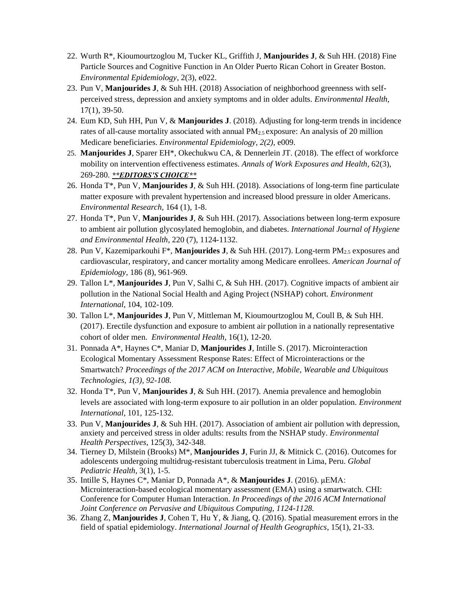- 22. Wurth R\*, Kioumourtzoglou M, Tucker KL, Griffith J, **Manjourides J**, & Suh HH. (2018) Fine Particle Sources and Cognitive Function in An Older Puerto Rican Cohort in Greater Boston. *Environmental Epidemiology*, 2(3), e022.
- 23. Pun V, **Manjourides J**, & Suh HH. (2018) Association of neighborhood greenness with selfperceived stress, depression and anxiety symptoms and in older adults. *Environmental Health,*  17(1), 39-50.
- 24. Eum KD, Suh HH, Pun V, & **Manjourides J**. (2018). Adjusting for long-term trends in incidence rates of all-cause mortality associated with annual  $PM_{2.5}$  exposure: An analysis of 20 million Medicare beneficiaries. *Environmental Epidemiology, 2(2),* e009.
- 25. **Manjourides J**, Sparer EH\*, Okechukwu CA, & Dennerlein JT. (2018). The effect of workforce mobility on intervention effectiveness estimates. *Annals of Work Exposures and Health*, 62(3), 269-280. *\*\*EDITORS'S CHOICE\*\**
- 26. Honda T\*, Pun V, **Manjourides J**, & Suh HH. (2018). Associations of long-term fine particulate matter exposure with prevalent hypertension and increased blood pressure in older Americans. *Environmental Research*, 164 (1), 1-8.
- 27. Honda T\*, Pun V, **Manjourides J**, & Suh HH. (2017). Associations between long-term exposure to ambient air pollution glycosylated hemoglobin, and diabetes. *International Journal of Hygiene and Environmental Health,* 220 (7), 1124-1132.
- 28. Pun V, Kazemiparkouhi F\*, **Manjourides J**, & Suh HH. (2017). Long-term PM2.5 exposures and cardiovascular, respiratory, and cancer mortality among Medicare enrollees. *American Journal of Epidemiology*, 186 (8), 961-969.
- 29. Tallon L\*, **Manjourides J**, Pun V, Salhi C, & Suh HH. (2017). Cognitive impacts of ambient air pollution in the National Social Health and Aging Project (NSHAP) cohort. *Environment International*, 104, 102-109.
- 30. Tallon L\*, **Manjourides J**, Pun V, Mittleman M, Kioumourtzoglou M, Coull B, & Suh HH. (2017). Erectile dysfunction and exposure to ambient air pollution in a nationally representative cohort of older men. *Environmental Health*, 16(1), 12-20.
- 31. Ponnada A\*, Haynes C\*, Maniar D, **Manjourides J**, Intille S. (2017). Microinteraction Ecological Momentary Assessment Response Rates: Effect of Microinteractions or the Smartwatch? *Proceedings of the 2017 ACM on Interactive, Mobile, Wearable and Ubiquitous Technologies, 1(3), 92-108.*
- 32. Honda T\*, Pun V, **Manjourides J**, & Suh HH. (2017). Anemia prevalence and hemoglobin levels are associated with long-term exposure to air pollution in an older population. *Environment International,* 101, 125-132.
- 33. Pun V, **Manjourides J**, & Suh HH. (2017). Association of ambient air pollution with depression, anxiety and perceived stress in older adults: results from the NSHAP study. *Environmental Health Perspectives,* 125(3), 342-348.
- 34. Tierney D, Milstein (Brooks) M\*, **Manjourides J**, Furin JJ, & Mitnick C. (2016). Outcomes for adolescents undergoing multidrug-resistant tuberculosis treatment in Lima, Peru. *Global Pediatric Health,* 3(1), 1-5.
- 35. Intille S, Haynes C\*, Maniar D, Ponnada A\*, & **Manjourides J**. (2016). μEMA: Microinteraction-based ecological momentary assessment (EMA) using a smartwatch. CHI: Conference for Computer Human Interaction. *In Proceedings of the 2016 ACM International Joint Conference on Pervasive and Ubiquitous Computing, 1124-1128.*
- 36. Zhang Z, **Manjourides J**, Cohen T, Hu Y, & Jiang, Q. (2016). Spatial measurement errors in the field of spatial epidemiology. *International Journal of Health Geographics*, 15(1), 21-33.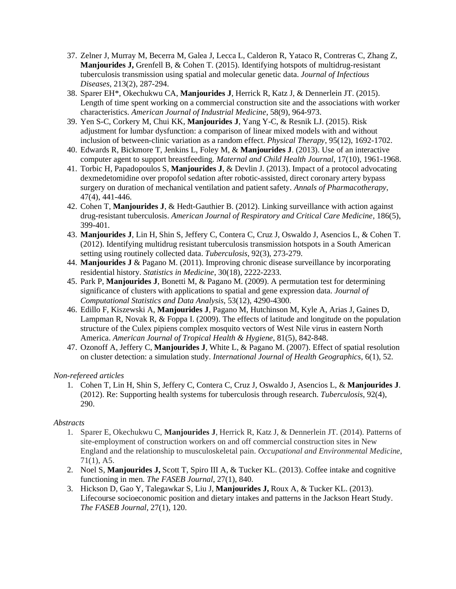- 37. Zelner J, Murray M, Becerra M, Galea J, Lecca L, Calderon R, Yataco R, Contreras C, Zhang Z, **Manjourides J,** Grenfell B, & Cohen T. (2015). Identifying hotspots of multidrug-resistant tuberculosis transmission using spatial and molecular genetic data. *Journal of Infectious Diseases*, 213(2), 287-294.
- 38. Sparer EH\*, Okechukwu CA, **Manjourides J**, Herrick R, Katz J, & Dennerlein JT. (2015). Length of time spent working on a commercial construction site and the associations with worker characteristics. *American Journal of Industrial Medicine*, 58(9), 964-973.
- 39. Yen S-C, Corkery M, Chui KK, **Manjourides J**, Yang Y-C, & Resnik LJ. (2015). Risk adjustment for lumbar dysfunction: a comparison of linear mixed models with and without inclusion of between-clinic variation as a random effect. *Physical Therapy*, 95(12), 1692-1702.
- 40. Edwards R, Bickmore T, Jenkins L, Foley M, & **Manjourides J**. (2013). Use of an interactive computer agent to support breastfeeding. *Maternal and Child Health Journal*, 17(10), 1961-1968.
- 41. Torbic H, Papadopoulos S, **Manjourides J**, & Devlin J. (2013). Impact of a protocol advocating dexmedetomidine over propofol sedation after robotic-assisted, direct coronary artery bypass surgery on duration of mechanical ventilation and patient safety. *Annals of Pharmacotherapy*, 47(4), 441-446.
- 42. Cohen T, **Manjourides J**, & Hedt-Gauthier B. (2012). Linking surveillance with action against drug-resistant tuberculosis. *American Journal of Respiratory and Critical Care Medicine*, 186(5), 399-401.
- 43. **Manjourides J**, Lin H, Shin S, Jeffery C, Contera C, Cruz J, Oswaldo J, Asencios L, & Cohen T. (2012). Identifying multidrug resistant tuberculosis transmission hotspots in a South American setting using routinely collected data. *Tuberculosis*, 92(3), 273-279.
- 44. **Manjourides J** & Pagano M. (2011). Improving chronic disease surveillance by incorporating residential history. *Statistics in Medicine*, 30(18), 2222-2233.
- 45. Park P, **Manjourides J**, Bonetti M, & Pagano M. (2009). A permutation test for determining significance of clusters with applications to spatial and gene expression data*. Journal of Computational Statistics and Data Analysis*, 53(12), 4290-4300.
- 46. Edillo F, Kiszewski A, **Manjourides J**, Pagano M, Hutchinson M, Kyle A, Arias J, Gaines D, Lampman R, Novak R, & Foppa I. (2009). The effects of latitude and longitude on the population structure of the Culex pipiens complex mosquito vectors of West Nile virus in eastern North America. *American Journal of Tropical Health & Hygiene*, 81(5), 842-848.
- 47. Ozonoff A, Jeffery C, **Manjourides J**, White L, & Pagano M. (2007). Effect of spatial resolution on cluster detection: a simulation study. *International Journal of Health Geographics*, 6(1), 52.

### *Non-refereed articles*

1. Cohen T, Lin H, Shin S, Jeffery C, Contera C, Cruz J, Oswaldo J, Asencios L, & **Manjourides J**. (2012). Re: Supporting health systems for tuberculosis through research. *Tuberculosis*, 92(4), 290.

### *Abstracts*

- 1. Sparer E, Okechukwu C, **Manjourides J**, Herrick R, Katz J, & Dennerlein JT. (2014). Patterns of site-employment of construction workers on and off commercial construction sites in New England and the relationship to musculoskeletal pain. *Occupational and Environmental Medicine*, 71(1), A5.
- 2. Noel S, **Manjourides J,** Scott T, Spiro III A, & Tucker KL. (2013). Coffee intake and cognitive functioning in men. *The FASEB Journal*, 27(1), 840.
- 3. Hickson D, Gao Y, Talegawkar S, Liu J, **Manjourides J,** Roux A, & Tucker KL. (2013). Lifecourse socioeconomic position and dietary intakes and patterns in the Jackson Heart Study. *The FASEB Journal*, 27(1), 120.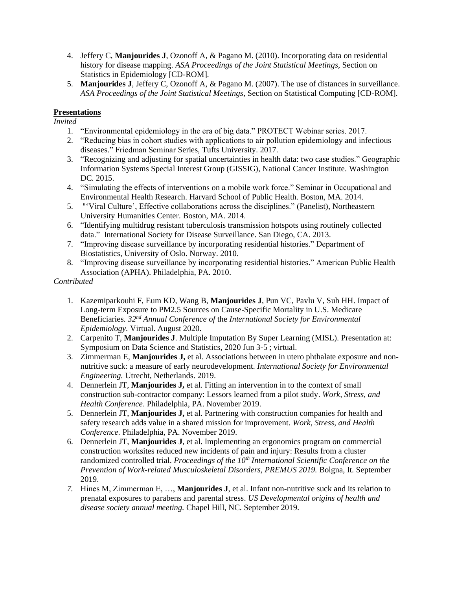- 4. Jeffery C, **Manjourides J**, Ozonoff A, & Pagano M. (2010). Incorporating data on residential history for disease mapping. *ASA Proceedings of the Joint Statistical Meetings*, Section on Statistics in Epidemiology [CD-ROM].
- 5. **Manjourides J**, Jeffery C, Ozonoff A, & Pagano M. (2007). The use of distances in surveillance. *ASA Proceedings of the Joint Statistical Meetings*, Section on Statistical Computing [CD-ROM].

## **Presentations**

*Invited*

- 1. "Environmental epidemiology in the era of big data." PROTECT Webinar series. 2017.
- 2. "Reducing bias in cohort studies with applications to air pollution epidemiology and infectious diseases." Friedman Seminar Series, Tufts University. 2017.
- 3. "Recognizing and adjusting for spatial uncertainties in health data: two case studies." Geographic Information Systems Special Interest Group (GISSIG), National Cancer Institute. Washington DC. 2015.
- 4. "Simulating the effects of interventions on a mobile work force." Seminar in Occupational and Environmental Health Research. Harvard School of Public Health. Boston, MA. 2014.
- 5. "'Viral Culture', Effective collaborations across the disciplines." (Panelist), Northeastern University Humanities Center. Boston, MA. 2014.
- 6. "Identifying multidrug resistant tuberculosis transmission hotspots using routinely collected data." International Society for Disease Surveillance. San Diego, CA. 2013.
- 7. "Improving disease surveillance by incorporating residential histories." Department of Biostatistics, University of Oslo. Norway. 2010.
- 8. "Improving disease surveillance by incorporating residential histories." American Public Health Association (APHA). Philadelphia, PA. 2010.

### *Contributed*

- 1. Kazemiparkouhi F, Eum KD, Wang B, **Manjourides J**, Pun VC, Pavlu V, Suh HH. Impact of Long-term Exposure to PM2.5 Sources on Cause-Specific Mortality in U.S. Medicare Beneficiaries*. 32nd Annual Conference of* the *International Society for Environmental Epidemiology.* Virtual. August 2020.
- 2. Carpenito T, **Manjourides J**. Multiple Imputation By Super Learning (MISL). Presentation at: Symposium on Data Science and Statistics, 2020 Jun 3-5 ; virtual.
- 3. Zimmerman E, **Manjourides J,** et al. Associations between in utero phthalate exposure and nonnutritive suck: a measure of early neurodevelopment. *International Society for Environmental Engineering.* Utrecht, Netherlands. 2019.
- 4. Dennerlein JT, **Manjourides J,** et al. Fitting an intervention in to the context of small construction sub-contractor company: Lessors learned from a pilot study. *Work, Stress, and Health Conference*. Philadelphia, PA. November 2019.
- 5. Dennerlein JT, **Manjourides J,** et al. Partnering with construction companies for health and safety research adds value in a shared mission for improvement. *Work, Stress, and Health Conference.* Philadelphia, PA. November 2019.
- 6. Dennerlein JT, **Manjourides J**, et al. Implementing an ergonomics program on commercial construction worksites reduced new incidents of pain and injury: Results from a cluster randomized controlled trial. *Proceedings of the 10th International Scientific Conference on the Prevention of Work-related Musculoskeletal Disorders, PREMUS 2019.* Bolgna, It. September 2019.
- *7.* Hines M, Zimmerman E, …, **Manjourides J**, et al. Infant non-nutritive suck and its relation to prenatal exposures to parabens and parental stress. *US Developmental origins of health and disease society annual meeting.* Chapel Hill, NC. September 2019.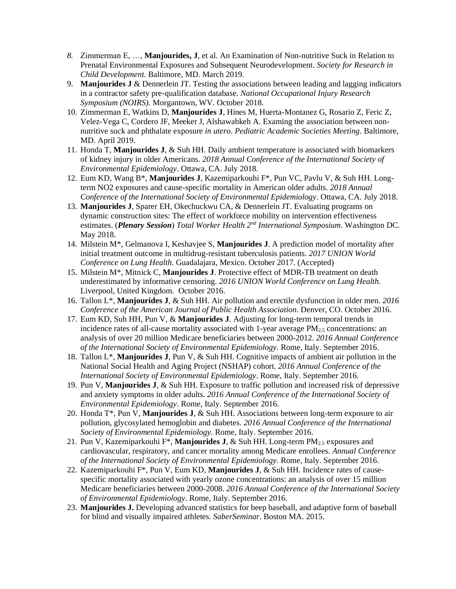- *8.* Zimmerman E, …, **Manjourides, J**, et al. An Examination of Non-nutritive Suck in Relation to Prenatal Environmental Exposures and Subsequent Neurodevelopment. *Society for Research in Child Development.* Baltimore, MD. March 2019.
- 9. **Manjourides J** & Dennerlein JT. Testing the associations between leading and lagging indicators in a contractor safety pre-qualification database. *National Occupational Injury Research Symposium (NOIRS).* Morgantown, WV. October 2018.
- 10. Zimmerman E, Watkins D, **Manjourides J**, Hines M, Huerta-Montanez G, Rosario Z, Feric Z, Velez-Vega C, Cordero JF, Meeker J, Alshawabkeh A. Examing the association between nonnutritive suck and phthalate exposure *in utero*. *Pediatric Academic Societies Meeting*. Baltimore, MD. April 2019.
- 11. Honda T, **Manjourides J**, & Suh HH. Daily ambient temperature is associated with biomarkers of kidney injury in older Americans. *2018 Annual Conference of the International Society of Environmental Epidemiology*. Ottawa, CA. July 2018.
- 12. Eum KD, Wang B\*, **Manjourides J**, Kazemiparkouhi F\*, Pun VC, Pavlu V, & Suh HH. Longterm NO2 exposures and cause-specific mortality in American older adults. *2018 Annual Conference of the International Society of Environmental Epidemiology*. Ottawa, CA. July 2018.
- 13. **Manjourides J**, Sparer EH, Okechuckwu CA, & Dennerlein JT. Evaluating programs on dynamic construction sites: The effect of workforce mobility on intervention effectiveness estimates. (*Plenary Session*) *Total Worker Health 2nd International Symposium*. Washington DC. May 2018.
- 14. Milstein M\*, Gelmanova I, Keshavjee S, **Manjourides J**. A prediction model of mortality after initial treatment outcome in multidrug-resistant tuberculosis patients. *2017 UNION World Conference on Lung Health*. Guadalajara, Mexico. October 2017. (Accepted)
- 15. Milstein M\*, Mitnick C, **Manjourides J**. Protective effect of MDR-TB treatment on death underestimated by informative censoring. *2016 UNION World Conference on Lung Health*. Liverpool, United Kingdom. October 2016.
- 16. Tallon L\*, **Manjourides J**, & Suh HH. Air pollution and erectile dysfunction in older men. *2016 Conference of the American Journal of Public Health Association*. Denver, CO. October 2016.
- 17. Eum KD, Suh HH, Pun V, & **Manjourides J**. Adjusting for long-term temporal trends in incidence rates of all-cause mortality associated with 1-year average  $PM_{2.5}$  concentrations: an analysis of over 20 million Medicare beneficiaries between 2000-2012. *2016 Annual Conference of the International Society of Environmental Epidemiology*. Rome, Italy. September 2016.
- 18. Tallon L\*, **Manjourides J**, Pun V, & Suh HH. Cognitive impacts of ambient air pollution in the National Social Health and Aging Project (NSHAP) cohort. *2016 Annual Conference of the International Society of Environmental Epidemiology*. Rome, Italy. September 2016.
- 19. Pun V, **Manjourides J**, & Suh HH. Exposure to traffic pollution and increased risk of depressive and anxiety symptoms in older adults. *2016 Annual Conference of the International Society of Environmental Epidemiology*. Rome, Italy. September 2016.
- 20. Honda T\*, Pun V, **Manjourides J**, & Suh HH. Associations between long-term exposure to air pollution, glycosylated hemoglobin and diabetes. *2016 Annual Conference of the International Society of Environmental Epidemiology*. Rome, Italy. September 2016.
- 21. Pun V, Kazemiparkouhi F<sup>\*</sup>, Manjourides J, & Suh HH. Long-term  $PM_{2.5}$  exposures and cardiovascular, respiratory, and cancer mortality among Medicare enrollees*. Annual Conference of the International Society of Environmental Epidemiology*. Rome, Italy. September 2016.
- 22. Kazemiparkouhi F\*, Pun V, Eum KD, **Manjourides J**, & Suh HH. Incidence rates of causespecific mortality associated with yearly ozone concentrations: an analysis of over 15 million Medicare beneficiaries between 2000-2008. *2016 Annual Conference of the International Society of Environmental Epidemiology*. Rome, Italy. September 2016.
- 23. **Manjourides J.** Developing advanced statistics for beep baseball, and adaptive form of baseball for blind and visually impaired athletes. *SaberSeminar*. Boston MA. 2015.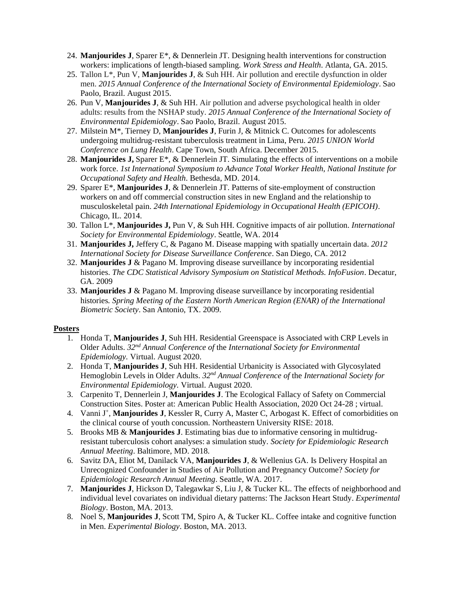- 24. **Manjourides J**, Sparer E\*, & Dennerlein JT. Designing health interventions for construction workers: implications of length-biased sampling. *Work Stress and Health*. Atlanta, GA. 2015.
- 25. Tallon L\*, Pun V, **Manjourides J**, & Suh HH. Air pollution and erectile dysfunction in older men. *2015 Annual Conference of the International Society of Environmental Epidemiology*. Sao Paolo, Brazil. August 2015.
- 26. Pun V, **Manjourides J**, & Suh HH. Air pollution and adverse psychological health in older adults: results from the NSHAP study. *2015 Annual Conference of the International Society of Environmental Epidemiology*. Sao Paolo, Brazil. August 2015.
- 27. Milstein M\*, Tierney D, **Manjourides J**, Furin J, & Mitnick C. Outcomes for adolescents undergoing multidrug-resistant tuberculosis treatment in Lima, Peru. *2015 UNION World Conference on Lung Health*. Cape Town, South Africa. December 2015.
- 28. **Manjourides J,** Sparer E\*, & Dennerlein JT. Simulating the effects of interventions on a mobile work force. *1st International Symposium to Advance Total Worker Health, National Institute for Occupational Safety and Health*. Bethesda, MD. 2014.
- 29. Sparer E\*, **Manjourides J**, & Dennerlein JT. Patterns of site-employment of construction workers on and off commercial construction sites in new England and the relationship to musculoskeletal pain. *24th International Epidemiology in Occupational Health (EPICOH)*. Chicago, IL. 2014.
- 30. Tallon L\*, **Manjourides J,** Pun V, & Suh HH. Cognitive impacts of air pollution. *International Society for Environmental Epidemiology*. Seattle, WA. 2014
- 31. **Manjourides J,** Jeffery C, & Pagano M. Disease mapping with spatially uncertain data. *2012 International Society for Disease Surveillance Conference*. San Diego, CA. 2012
- 32. **Manjourides J** & Pagano M. Improving disease surveillance by incorporating residential histories. *The CDC Statistical Advisory Symposium on Statistical Methods. InfoFusion*. Decatur, GA. 2009
- 33. **Manjourides J** & Pagano M. Improving disease surveillance by incorporating residential histories*. Spring Meeting of the Eastern North American Region (ENAR) of the International Biometric Society*. San Antonio, TX. 2009.

### **Posters**

- 1. Honda T, **Manjourides J**, Suh HH. Residential Greenspace is Associated with CRP Levels in Older Adults. *32nd Annual Conference of* the *International Society for Environmental Epidemiology.* Virtual. August 2020.
- 2. Honda T, **Manjourides J**, Suh HH. Residential Urbanicity is Associated with Glycosylated Hemoglobin Levels in Older Adults. *32nd Annual Conference of* the *International Society for Environmental Epidemiology.* Virtual. August 2020.
- 3. Carpenito T, Dennerlein J, **Manjourides J**. The Ecological Fallacy of Safety on Commercial Construction Sites. Poster at: American Public Health Association, 2020 Oct 24-28 ; virtual.
- 4. Vanni J<sup>+</sup>, Manjourides J, Kessler R, Curry A, Master C, Arbogast K. Effect of comorbidities on the clinical course of youth concussion. Northeastern University RISE: 2018.
- 5. Brooks MB & **Manjourides J**. Estimating bias due to informative censoring in multidrugresistant tuberculosis cohort analyses: a simulation study. *Society for Epidemiologic Research Annual Meeting*. Baltimore, MD. 2018.
- 6. Savitz DA, Eliot M, Danilack VA, **Manjourides J**, & Wellenius GA. Is Delivery Hospital an Unrecognized Confounder in Studies of Air Pollution and Pregnancy Outcome? *Society for Epidemiologic Research Annual Meeting*. Seattle, WA. 2017.
- 7. **Manjourides J**, Hickson D, Talegawkar S, Liu J, & Tucker KL. The effects of neighborhood and individual level covariates on individual dietary patterns: The Jackson Heart Study. *Experimental Biology*. Boston, MA. 2013.
- 8. Noel S, **Manjourides J**, Scott TM, Spiro A, & Tucker KL. Coffee intake and cognitive function in Men. *Experimental Biology*. Boston, MA. 2013.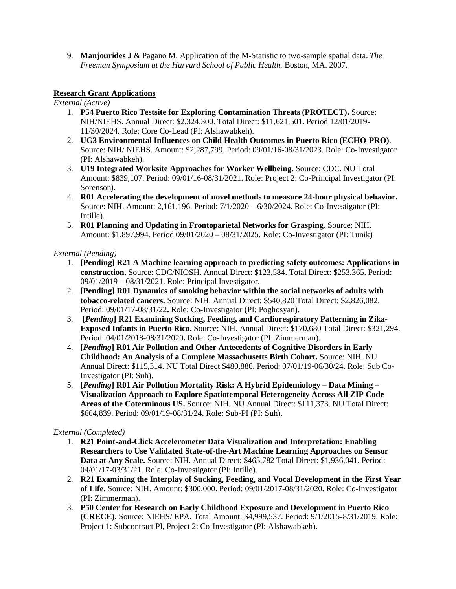9. **Manjourides J** & Pagano M. Application of the M-Statistic to two-sample spatial data. *The Freeman Symposium at the Harvard School of Public Health.* Boston, MA. 2007.

## **Research Grant Applications**

*External (Active)*

- 1. **P54 Puerto Rico Testsite for Exploring Contamination Threats (PROTECT).** Source: NIH/NIEHS. Annual Direct: \$2,324,300. Total Direct: \$11,621,501. Period 12/01/2019- 11/30/2024. Role: Core Co-Lead (PI: Alshawabkeh).
- 2. **UG3 Environmental Influences on Child Health Outcomes in Puerto Rico (ECHO-PRO)**. Source: NIH/ NIEHS. Amount: \$2,287,799. Period: 09/01/16-08/31/2023. Role: Co-Investigator (PI: Alshawabkeh).
- 3. **U19 Integrated Worksite Approaches for Worker Wellbeing**. Source: CDC. NU Total Amount: \$839,107. Period: 09/01/16-08/31/2021. Role: Project 2: Co-Principal Investigator (PI: Sorenson).
- 4. **R01 Accelerating the development of novel methods to measure 24-hour physical behavior.** Source: NIH. Amount: 2,161,196. Period: 7/1/2020 – 6/30/2024. Role: Co-Investigator (PI: Intille).
- 5. **R01 Planning and Updating in Frontoparietal Networks for Grasping.** Source: NIH. Amount: \$1,897,994. Period 09/01/2020 – 08/31/2025. Role: Co-Investigator (PI: Tunik)

## *External (Pending)*

- 1. **[Pending] R21 A Machine learning approach to predicting safety outcomes: Applications in construction.** Source: CDC/NIOSH. Annual Direct: \$123,584. Total Direct: \$253,365. Period: 09/01/2019 – 08/31/2021. Role: Principal Investigator.
- 2. **[Pending] R01 Dynamics of smoking behavior within the social networks of adults with tobacco-related cancers.** Source: NIH. Annual Direct: \$540,820 Total Direct: \$2,826,082. Period: 09/01/17-08/31/22**.** Role: Co-Investigator (PI: Poghosyan).
- 3. **[***Pending***] R21 Examining Sucking, Feeding, and Cardiorespiratory Patterning in Zika-Exposed Infants in Puerto Rico.** Source: NIH. Annual Direct: \$170,680 Total Direct: \$321,294. Period: 04/01/2018-08/31/2020**.** Role: Co-Investigator (PI: Zimmerman).
- 4. **[***Pending***] R01 Air Pollution and Other Antecedents of Cognitive Disorders in Early Childhood: An Analysis of a Complete Massachusetts Birth Cohort.** Source: NIH. NU Annual Direct: \$115,314. NU Total Direct \$480,886. Period: 07/01/19-06/30/24**.** Role: Sub Co-Investigator (PI: Suh).
- 5. **[***Pending***] R01 Air Pollution Mortality Risk: A Hybrid Epidemiology – Data Mining – Visualization Approach to Explore Spatiotemporal Heterogeneity Across All ZIP Code Areas of the Coterminous US.** Source: NIH. NU Annual Direct: \$111,373. NU Total Direct: \$664,839. Period: 09/01/19-08/31/24**.** Role: Sub-PI (PI: Suh).

## *External (Completed)*

- 1. **R21 Point-and-Click Accelerometer Data Visualization and Interpretation: Enabling Researchers to Use Validated State-of-the-Art Machine Learning Approaches on Sensor Data at Any Scale.** Source: NIH. Annual Direct: \$465,782 Total Direct: \$1,936,041. Period: 04/01/17-03/31/21. Role: Co-Investigator (PI: Intille).
- 2. **R21 Examining the Interplay of Sucking, Feeding, and Vocal Development in the First Year of Life.** Source: NIH. Amount: \$300,000. Period: 09/01/2017-08/31/2020**.** Role: Co-Investigator (PI: Zimmerman).
- 3. **P50 Center for Research on Early Childhood Exposure and Development in Puerto Rico (CRECE).** Source: NIEHS/ EPA. Total Amount: \$4,999,537. Period: 9/1/2015-8/31/2019. Role: Project 1: Subcontract PI, Project 2: Co-Investigator (PI: Alshawabkeh).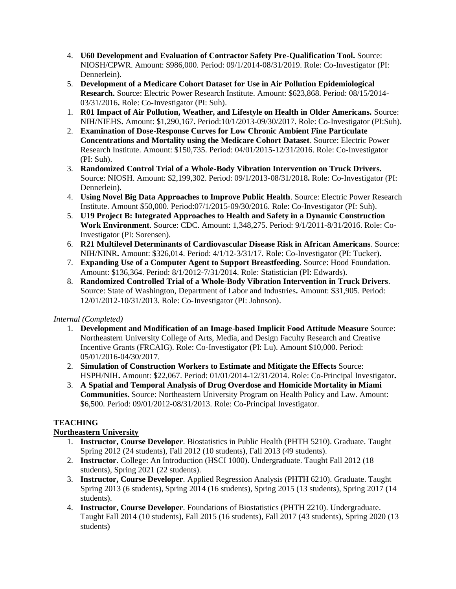- 4. **U60 Development and Evaluation of Contractor Safety Pre-Qualification Tool.** Source: NIOSH/CPWR. Amount: \$986,000. Period: 09/1/2014-08/31/2019. Role: Co-Investigator (PI: Dennerlein).
- 5. **Development of a Medicare Cohort Dataset for Use in Air Pollution Epidemiological Research.** Source: Electric Power Research Institute. Amount: \$623,868. Period: 08/15/2014- 03/31/2016**.** Role: Co-Investigator (PI: Suh).
- 1. **R01 Impact of Air Pollution, Weather, and Lifestyle on Health in Older Americans.** Source: NIH/NIEHS**.** Amount: \$1,290,167**.** Period:10/1/2013-09/30/2017. Role: Co-Investigator (PI:Suh).
- 2. **Examination of Dose-Response Curves for Low Chronic Ambient Fine Particulate Concentrations and Mortality using the Medicare Cohort Dataset**. Source: Electric Power Research Institute. Amount: \$150,735. Period: 04/01/2015-12/31/2016. Role: Co-Investigator (PI: Suh).
- 3. **Randomized Control Trial of a Whole-Body Vibration Intervention on Truck Drivers.**  Source: NIOSH. Amount: \$2,199,302. Period: 09/1/2013-08/31/2018**.** Role: Co-Investigator (PI: Dennerlein).
- 4. **Using Novel Big Data Approaches to Improve Public Health**. Source: Electric Power Research Institute. Amount \$50,000. Period:07/1/2015-09/30/2016. Role: Co-Investigator (PI: Suh).
- 5. **U19 Project B: Integrated Approaches to Health and Safety in a Dynamic Construction Work Environment**. Source: CDC. Amount: 1,348,275. Period: 9/1/2011-8/31/2016. Role: Co-Investigator (PI: Sorensen).
- 6. **R21 Multilevel Determinants of Cardiovascular Disease Risk in African Americans**. Source: NIH/NINR**.** Amount: \$326,014. Period: 4/1/12-3/31/17. Role: Co-Investigator (PI: Tucker)**.**
- 7. **Expanding Use of a Computer Agent to Support Breastfeeding**. Source: Hood Foundation. Amount: \$136,364. Period: 8/1/2012-7/31/2014. Role: Statistician (PI: Edwards).
- 8. **Randomized Controlled Trial of a Whole-Body Vibration Intervention in Truck Drivers**. Source: State of Washington, Department of Labor and Industries**.** Amount: \$31,905. Period: 12/01/2012-10/31/2013. Role: Co-Investigator (PI: Johnson).

## *Internal (Completed)*

- 1. **Development and Modification of an Image-based Implicit Food Attitude Measure** Source: Northeastern University College of Arts, Media, and Design Faculty Research and Creative Incentive Grants (FRCAIG). Role: Co-Investigator (PI: Lu). Amount \$10,000. Period: 05/01/2016-04/30/2017.
- 2. **Simulation of Construction Workers to Estimate and Mitigate the Effects** Source: HSPH/NIH**.** Amount: \$22,067. Period: 01/01/2014-12/31/2014. Role: Co-Principal Investigator**.**
- 3. **A Spatial and Temporal Analysis of Drug Overdose and Homicide Mortality in Miami Communities.** Source: Northeastern University Program on Health Policy and Law. Amount: \$6,500. Period: 09/01/2012-08/31/2013. Role: Co-Principal Investigator.

# **TEACHING**

# **Northeastern University**

- 1. **Instructor, Course Developer***.* Biostatistics in Public Health (PHTH 5210). Graduate. Taught Spring 2012 (24 students), Fall 2012 (10 students), Fall 2013 (49 students).
- 2. **Instructor**. College: An Introduction (HSCI 1000). Undergraduate. Taught Fall 2012 (18 students), Spring 2021 (22 students).
- 3. **Instructor, Course Developer***.* Applied Regression Analysis (PHTH 6210). Graduate. Taught Spring 2013 (6 students), Spring 2014 (16 students), Spring 2015 (13 students), Spring 2017 (14 students).
- 4. **Instructor, Course Developer***.* Foundations of Biostatistics (PHTH 2210). Undergraduate. Taught Fall 2014 (10 students), Fall 2015 (16 students), Fall 2017 (43 students), Spring 2020 (13 students)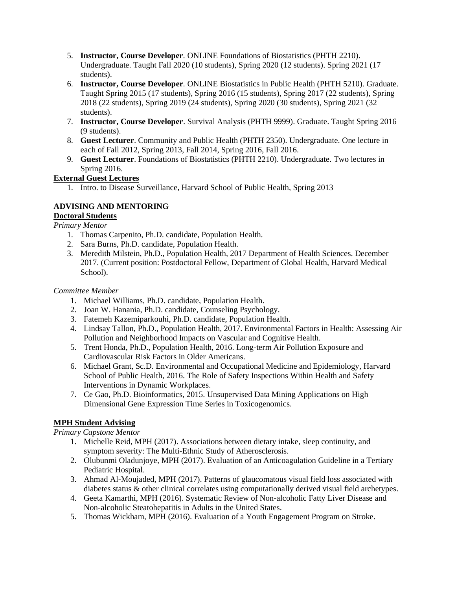- 5. **Instructor, Course Developer***.* ONLINE Foundations of Biostatistics (PHTH 2210). Undergraduate. Taught Fall 2020 (10 students), Spring 2020 (12 students). Spring 2021 (17 students).
- 6. **Instructor, Course Developer***.* ONLINE Biostatistics in Public Health (PHTH 5210). Graduate. Taught Spring 2015 (17 students), Spring 2016 (15 students), Spring 2017 (22 students), Spring 2018 (22 students), Spring 2019 (24 students), Spring 2020 (30 students), Spring 2021 (32 students).
- 7. **Instructor, Course Developer**. Survival Analysis (PHTH 9999). Graduate. Taught Spring 2016 (9 students).
- 8. **Guest Lecturer**. Community and Public Health (PHTH 2350). Undergraduate. One lecture in each of Fall 2012, Spring 2013, Fall 2014, Spring 2016, Fall 2016.
- 9. **Guest Lecturer**. Foundations of Biostatistics (PHTH 2210). Undergraduate. Two lectures in Spring 2016.

# **External Guest Lectures**

1. Intro. to Disease Surveillance, Harvard School of Public Health, Spring 2013

## **ADVISING AND MENTORING Doctoral Students**

*Primary Mentor*

- 1. Thomas Carpenito, Ph.D. candidate, Population Health.
- 2. Sara Burns, Ph.D. candidate, Population Health.
- 3. Meredith Milstein, Ph.D., Population Health, 2017 Department of Health Sciences. December 2017. (Current position: Postdoctoral Fellow, Department of Global Health, Harvard Medical School).

## *Committee Member*

- 1. Michael Williams, Ph.D. candidate, Population Health.
- 2. Joan W. Hanania, Ph.D. candidate, Counseling Psychology.
- 3. Fatemeh Kazemiparkouhi, Ph.D. candidate, Population Health.
- 4. Lindsay Tallon, Ph.D., Population Health, 2017. Environmental Factors in Health: Assessing Air Pollution and Neighborhood Impacts on Vascular and Cognitive Health.
- 5. Trent Honda, Ph.D., Population Health, 2016. Long-term Air Pollution Exposure and Cardiovascular Risk Factors in Older Americans.
- 6. Michael Grant, Sc.D. Environmental and Occupational Medicine and Epidemiology, Harvard School of Public Health, 2016. The Role of Safety Inspections Within Health and Safety Interventions in Dynamic Workplaces.
- 7. Ce Gao, Ph.D. Bioinformatics, 2015. Unsupervised Data Mining Applications on High Dimensional Gene Expression Time Series in Toxicogenomics.

## **MPH Student Advising**

*Primary Capstone Mentor*

- 1. Michelle Reid, MPH (2017). Associations between dietary intake, sleep continuity, and symptom severity: The Multi-Ethnic Study of Atherosclerosis.
- 2. Olubunmi Oladunjoye, MPH (2017). Evaluation of an Anticoagulation Guideline in a Tertiary Pediatric Hospital.
- 3. Ahmad Al-Moujaded, MPH (2017). Patterns of glaucomatous visual field loss associated with diabetes status & other clinical correlates using computationally derived visual field archetypes.
- 4. Geeta Kamarthi, MPH (2016). Systematic Review of Non-alcoholic Fatty Liver Disease and Non-alcoholic Steatohepatitis in Adults in the United States.
- 5. Thomas Wickham, MPH (2016). Evaluation of a Youth Engagement Program on Stroke.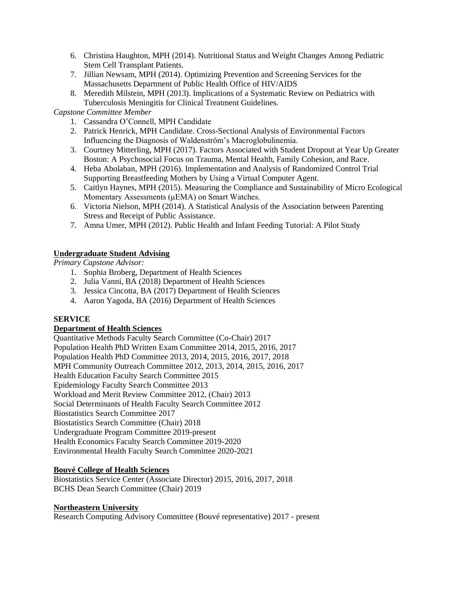- 6. Christina Haughton, MPH (2014). Nutritional Status and Weight Changes Among Pediatric Stem Cell Transplant Patients.
- 7. Jillian Newsam, MPH (2014). Optimizing Prevention and Screening Services for the Massachusetts Department of Public Health Office of HIV/AIDS
- 8. Meredith Milstein, MPH (2013). Implications of a Systematic Review on Pediatrics with Tuberculosis Meningitis for Clinical Treatment Guidelines.

# *Capstone Committee Member*

- 1. Cassandra O'Connell, MPH Candidate
- 2. Patrick Henrick, MPH Candidate. Cross-Sectional Analysis of Environmental Factors Influencing the Diagnosis of Waldenström's Macroglobulinemia.
- 3. Courtney Mitterling, MPH (2017). Factors Associated with Student Dropout at Year Up Greater Boston: A Psychosocial Focus on Trauma, Mental Health, Family Cohesion, and Race.
- 4. Heba Abolaban, MPH (2016). Implementation and Analysis of Randomized Control Trial Supporting Breastfeeding Mothers by Using a Virtual Computer Agent.
- 5. Caitlyn Haynes, MPH (2015). Measuring the Compliance and Sustainability of Micro Ecological Momentary Assessments (μEMA) on Smart Watches.
- 6. Victoria Nielson, MPH (2014). A Statistical Analysis of the Association between Parenting Stress and Receipt of Public Assistance.
- 7. Amna Umer, MPH (2012). Public Health and Infant Feeding Tutorial: A Pilot Study

# **Undergraduate Student Advising**

*Primary Capstone Advisor:*

- 1. Sophia Broberg, Department of Health Sciences
- 2. Julia Vanni, BA (2018) Department of Health Sciences
- 3. Jessica Cincotta, BA (2017) Department of Health Sciences
- 4. Aaron Yagoda, BA (2016) Department of Health Sciences

# **SERVICE**

## **Department of Health Sciences**

Quantitative Methods Faculty Search Committee (Co-Chair) 2017 Population Health PhD Written Exam Committee 2014, 2015, 2016, 2017 Population Health PhD Committee 2013, 2014, 2015, 2016, 2017, 2018 MPH Community Outreach Committee 2012, 2013, 2014, 2015, 2016, 2017 Health Education Faculty Search Committee 2015 Epidemiology Faculty Search Committee 2013 Workload and Merit Review Committee 2012, (Chair) 2013 Social Determinants of Health Faculty Search Committee 2012 Biostatistics Search Committee 2017 Biostatistics Search Committee (Chair) 2018 Undergraduate Program Committee 2019-present Health Economics Faculty Search Committee 2019-2020 Environmental Health Faculty Search Committee 2020-2021

## **Bouvé College of Health Sciences**

Biostatistics Service Center (Associate Director) 2015, 2016, 2017, 2018 BCHS Dean Search Committee (Chair) 2019

## **Northeastern University**

Research Computing Advisory Committee (Bouvé representative) 2017 - present